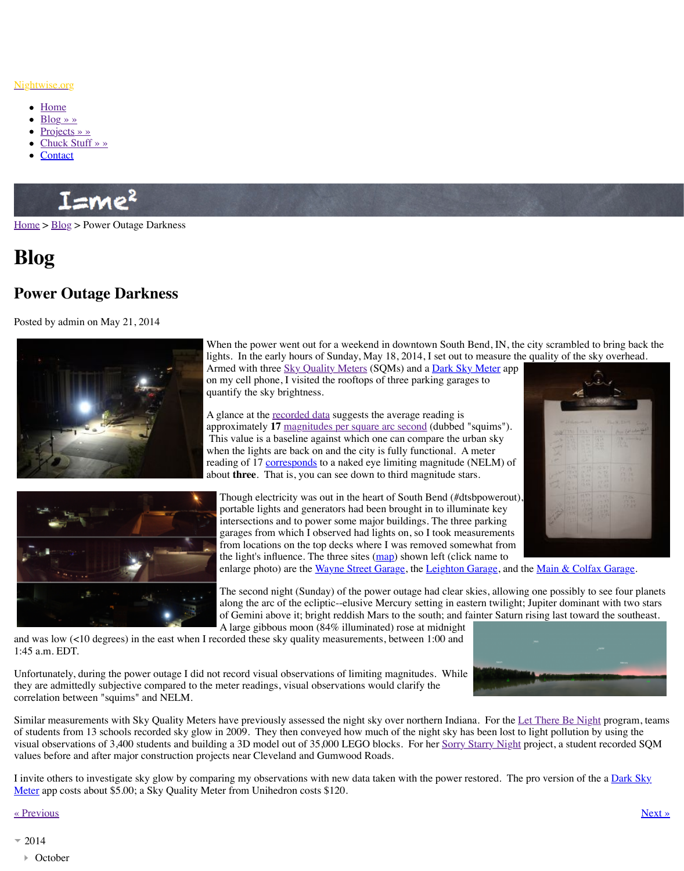

When the power went out for a weekend in dow lights. In the early hours of Sunday, May  $18, 20$ Armed with three Sky Quality Meters (SQMs) on my cell phone, I visited the rooftops of three quantify the sky brightness.

A glance at the <u>recorded data</u> suggests the average approximately 17 magnitudes per square arc se This value is a baseline against which one can when the lights are back on and the city is fully reading of 17 corresponds to a naked eye limiting about **three**. That is, you can see down to third



Though electricity was out in the heart of South portable lights and generators had been brought intersections and to power some major build garages from which I observed had lights on from locations on the top decks where I was the light's influence. The three sites  $(\text{map})$  shown enlarge photo) are the Wayne Street Garage

The second night (Sunday) of the power out along the arc of the ecliptic--elusive Mercur of Gemini above it; bright reddish Mars to the south A large gibbous moon  $(84\%$  illuminated) ro

and was low  $($ <10 degrees) in the east when I recorded these sky quality measurements, betw 1:45 a.m. EDT.

Unfortunately, during the power outage I did not record visual observations of limiting magnitudes. they are admittedly subjective compared to the meter readings, visual observations would cla correlation between "squims" and NELM.

Similar measurements with Sky Quality Meters have previousl[y assessed the night](http://old.nightwise.org/sqm.htm) sky over of students from 13 schools recorded sky glow in 2009. They then conveyed how much of t visual observations of 3,400 students and building a 3D model out of 35,000 LEGO blocks. values before and after major construction projects near Cle[veland and Gu](http://www.nightwise.org/files/1714/0064/5368/powerout-data.JPG)mwood Roads.

I invite others to investigate sky glow by comparing my observations with new data taken w Meter app costs about \$5.00; a Sky Quality Meter from Unihedron costs \$120.

## « Previous » Next » Next » Next » Next » Next » Next » Next » Next » Next » Next » Next » Next » Next » Next » Next » Next » Next » Next » Next » Next » Next » Next » Next » Next » Next » Next » Next » Next » Next » Next »

- 2014
	- October